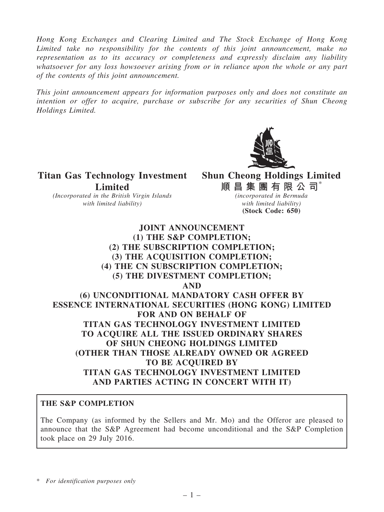*Hong Kong Exchanges and Clearing Limited and The Stock Exchange of Hong Kong Limited take no responsibility for the contents of this joint announcement, make no representation as to its accuracy or completeness and expressly disclaim any liability whatsoever for any loss howsoever arising from or in reliance upon the whole or any part of the contents of this joint announcement.*

*This joint announcement appears for information purposes only and does not constitute an intention or offer to acquire, purchase or subscribe for any securities of Shun Cheong Holdings Limited.*



Titan Gas Technology Investment Limited

*(Incorporated in the British Virgin Islands with limited liability)*

Shun Cheong Holdings Limited 順 昌 集 團 有 限 公 司 $^*$ 

*(incorporated in Bermuda with limited liability)* (Stock Code: 650)

# JOINT ANNOUNCEMENT (1) THE S&P COMPLETION; (2) THE SUBSCRIPTION COMPLETION; (3) THE ACQUISITION COMPLETION; (4) THE CN SUBSCRIPTION COMPLETION; (5) THE DIVESTMENT COMPLETION; AND (6) UNCONDITIONAL MANDATORY CASH OFFER BY ESSENCE INTERNATIONAL SECURITIES (HONG KONG) LIMITED FOR AND ON BEHALF OF TITAN GAS TECHNOLOGY INVESTMENT LIMITED TO ACQUIRE ALL THE ISSUED ORDINARY SHARES OF SHUN CHEONG HOLDINGS LIMITED (OTHER THAN THOSE ALREADY OWNED OR AGREED TO BE ACOUIRED BY TITAN GAS TECHNOLOGY INVESTMENT LIMITED AND PARTIES ACTING IN CONCERT WITH IT)

### THE S&P COMPLETION

The Company (as informed by the Sellers and Mr. Mo) and the Offeror are pleased to announce that the S&P Agreement had become unconditional and the S&P Completion took place on 29 July 2016.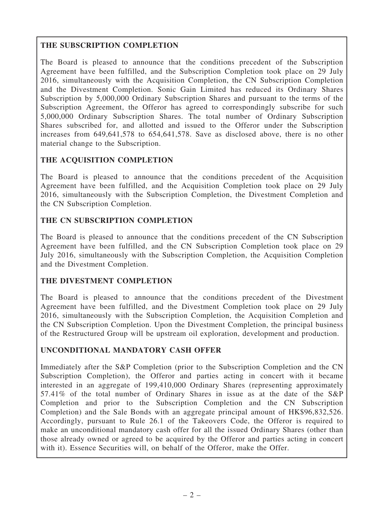# THE SUBSCRIPTION COMPLETION

The Board is pleased to announce that the conditions precedent of the Subscription Agreement have been fulfilled, and the Subscription Completion took place on 29 July 2016, simultaneously with the Acquisition Completion, the CN Subscription Completion and the Divestment Completion. Sonic Gain Limited has reduced its Ordinary Shares Subscription by 5,000,000 Ordinary Subscription Shares and pursuant to the terms of the Subscription Agreement, the Offeror has agreed to correspondingly subscribe for such 5,000,000 Ordinary Subscription Shares. The total number of Ordinary Subscription Shares subscribed for, and allotted and issued to the Offeror under the Subscription increases from 649,641,578 to 654,641,578. Save as disclosed above, there is no other material change to the Subscription.

# THE ACQUISITION COMPLETION

The Board is pleased to announce that the conditions precedent of the Acquisition Agreement have been fulfilled, and the Acquisition Completion took place on 29 July 2016, simultaneously with the Subscription Completion, the Divestment Completion and the CN Subscription Completion.

# THE CN SUBSCRIPTION COMPLETION

The Board is pleased to announce that the conditions precedent of the CN Subscription Agreement have been fulfilled, and the CN Subscription Completion took place on 29 July 2016, simultaneously with the Subscription Completion, the Acquisition Completion and the Divestment Completion.

## THE DIVESTMENT COMPLETION

The Board is pleased to announce that the conditions precedent of the Divestment Agreement have been fulfilled, and the Divestment Completion took place on 29 July 2016, simultaneously with the Subscription Completion, the Acquisition Completion and the CN Subscription Completion. Upon the Divestment Completion, the principal business of the Restructured Group will be upstream oil exploration, development and production.

## UNCONDITIONAL MANDATORY CASH OFFER

Immediately after the S&P Completion (prior to the Subscription Completion and the CN Subscription Completion), the Offeror and parties acting in concert with it became interested in an aggregate of 199,410,000 Ordinary Shares (representing approximately 57.41% of the total number of Ordinary Shares in issue as at the date of the S&P Completion and prior to the Subscription Completion and the CN Subscription Completion) and the Sale Bonds with an aggregate principal amount of HK\$96,832,526. Accordingly, pursuant to Rule 26.1 of the Takeovers Code, the Offeror is required to make an unconditional mandatory cash offer for all the issued Ordinary Shares (other than those already owned or agreed to be acquired by the Offeror and parties acting in concert with it). Essence Securities will, on behalf of the Offeror, make the Offer.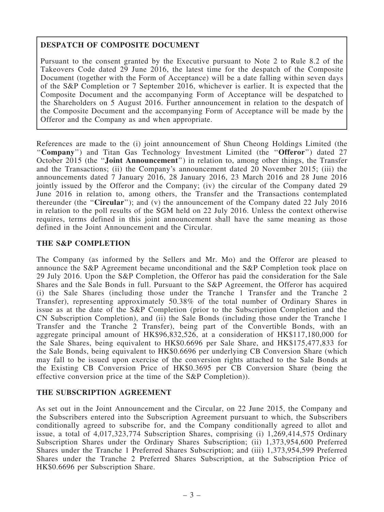## DESPATCH OF COMPOSITE DOCUMENT

Pursuant to the consent granted by the Executive pursuant to Note 2 to Rule 8.2 of the Takeovers Code dated 29 June 2016, the latest time for the despatch of the Composite Document (together with the Form of Acceptance) will be a date falling within seven days of the S&P Completion or 7 September 2016, whichever is earlier. It is expected that the Composite Document and the accompanying Form of Acceptance will be despatched to the Shareholders on 5 August 2016. Further announcement in relation to the despatch of the Composite Document and the accompanying Form of Acceptance will be made by the Offeror and the Company as and when appropriate.

References are made to the (i) joint announcement of Shun Cheong Holdings Limited (the "Company") and Titan Gas Technology Investment Limited (the "Offeror") dated 27 October 2015 (the ''Joint Announcement'') in relation to, among other things, the Transfer and the Transactions; (ii) the Company's announcement dated 20 November 2015; (iii) the announcements dated 7 January 2016, 28 January 2016, 23 March 2016 and 28 June 2016 jointly issued by the Offeror and the Company; (iv) the circular of the Company dated 29 June 2016 in relation to, among others, the Transfer and the Transactions contemplated thereunder (the ''Circular''); and (v) the announcement of the Company dated 22 July 2016 in relation to the poll results of the SGM held on 22 July 2016. Unless the context otherwise requires, terms defined in this joint announcement shall have the same meaning as those defined in the Joint Announcement and the Circular.

### THE S&P COMPLETION

The Company (as informed by the Sellers and Mr. Mo) and the Offeror are pleased to announce the S&P Agreement became unconditional and the S&P Completion took place on 29 July 2016. Upon the S&P Completion, the Offeror has paid the consideration for the Sale Shares and the Sale Bonds in full. Pursuant to the S&P Agreement, the Offeror has acquired (i) the Sale Shares (including those under the Tranche 1 Transfer and the Tranche 2 Transfer), representing approximately 50.38% of the total number of Ordinary Shares in issue as at the date of the S&P Completion (prior to the Subscription Completion and the CN Subscription Completion), and (ii) the Sale Bonds (including those under the Tranche 1 Transfer and the Tranche 2 Transfer), being part of the Convertible Bonds, with an aggregate principal amount of HK\$96,832,526, at a consideration of HK\$117,180,000 for the Sale Shares, being equivalent to HK\$0.6696 per Sale Share, and HK\$175,477,833 for the Sale Bonds, being equivalent to HK\$0.6696 per underlying CB Conversion Share (which may fall to be issued upon exercise of the conversion rights attached to the Sale Bonds at the Existing CB Conversion Price of HK\$0.3695 per CB Conversion Share (being the effective conversion price at the time of the S&P Completion)).

### THE SUBSCRIPTION AGREEMENT

As set out in the Joint Announcement and the Circular, on 22 June 2015, the Company and the Subscribers entered into the Subscription Agreement pursuant to which, the Subscribers conditionally agreed to subscribe for, and the Company conditionally agreed to allot and issue, a total of 4,017,323,774 Subscription Shares, comprising (i) 1,269,414,575 Ordinary Subscription Shares under the Ordinary Shares Subscription; (ii) 1,373,954,600 Preferred Shares under the Tranche 1 Preferred Shares Subscription; and (iii) 1,373,954,599 Preferred Shares under the Tranche 2 Preferred Shares Subscription, at the Subscription Price of HK\$0.6696 per Subscription Share.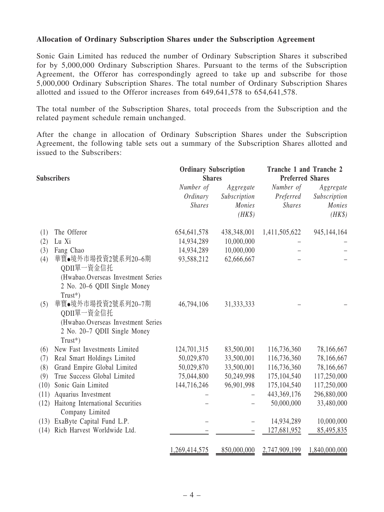#### Allocation of Ordinary Subscription Shares under the Subscription Agreement

Sonic Gain Limited has reduced the number of Ordinary Subscription Shares it subscribed for by 5,000,000 Ordinary Subscription Shares. Pursuant to the terms of the Subscription Agreement, the Offeror has correspondingly agreed to take up and subscribe for those 5,000,000 Ordinary Subscription Shares. The total number of Ordinary Subscription Shares allotted and issued to the Offeror increases from 649,641,578 to 654,641,578.

The total number of the Subscription Shares, total proceeds from the Subscription and the related payment schedule remain unchanged.

After the change in allocation of Ordinary Subscription Shares under the Subscription Agreement, the following table sets out a summary of the Subscription Shares allotted and issued to the Subscribers:

| <b>Subscribers</b> |                                                                                                                      | <b>Ordinary Subscription</b><br><b>Shares</b> |                                               | Tranche 1 and Tranche 2<br><b>Preferred Shares</b> |                                               |  |
|--------------------|----------------------------------------------------------------------------------------------------------------------|-----------------------------------------------|-----------------------------------------------|----------------------------------------------------|-----------------------------------------------|--|
|                    |                                                                                                                      | Number of<br>Ordinary<br><b>Shares</b>        | Aggregate<br>Subscription<br>Monies<br>$(HK\$ | Number of<br>Preferred<br><b>Shares</b>            | Aggregate<br>Subscription<br>Monies<br>$(HK\$ |  |
| (1)                | The Offeror                                                                                                          | 654, 641, 578                                 | 438,348,001                                   | 1,411,505,622                                      | 945,144,164                                   |  |
| (2)                | Lu Xi                                                                                                                | 14,934,289                                    | 10,000,000                                    |                                                    |                                               |  |
| (3)                | Fang Chao                                                                                                            | 14,934,289                                    | 10,000,000                                    |                                                    |                                               |  |
| (4)                | 華寶●境外市場投資2號系列20-6期<br>QDII單一資金信托<br>(Hwabao.Overseas Investment Series<br>2 No. 20–6 QDII Single Money<br>$Trust^*)$ | 93,588,212                                    | 62,666,667                                    |                                                    |                                               |  |
| (5)                | 華寶●境外市場投資2號系列20-7期<br>QDII單一資金信托<br>(Hwabao.Overseas Investment Series<br>2 No. 20-7 QDII Single Money<br>$Trust^*)$ | 46,794,106                                    | 31, 333, 333                                  |                                                    |                                               |  |
| (6)                | New Fast Investments Limited                                                                                         | 124,701,315                                   | 83,500,001                                    | 116,736,360                                        | 78,166,667                                    |  |
| (7)                | Real Smart Holdings Limited                                                                                          | 50,029,870                                    | 33,500,001                                    | 116,736,360                                        | 78,166,667                                    |  |
| (8)                | Grand Empire Global Limited                                                                                          | 50,029,870                                    | 33,500,001                                    | 116,736,360                                        | 78,166,667                                    |  |
| (9)                | True Success Global Limited                                                                                          | 75,044,800                                    | 50,249,998                                    | 175,104,540                                        | 117,250,000                                   |  |
| (10)               | Sonic Gain Limited                                                                                                   | 144,716,246                                   | 96,901,998                                    | 175,104,540                                        | 117,250,000                                   |  |
| (11)               | Aquarius Investment                                                                                                  |                                               |                                               | 443,369,176                                        | 296,880,000                                   |  |
| (12)               | Haitong International Securities<br>Company Limited                                                                  |                                               |                                               | 50,000,000                                         | 33,480,000                                    |  |
| (13)               | ExaByte Capital Fund L.P.                                                                                            |                                               |                                               | 14,934,289                                         | 10,000,000                                    |  |
| (14)               | Rich Harvest Worldwide Ltd.                                                                                          |                                               |                                               | 127,681,952                                        | 85,495,835                                    |  |
|                    |                                                                                                                      | 1,269,414,575                                 | 850,000,000                                   | 2,747,909,199                                      | 1,840,000,000                                 |  |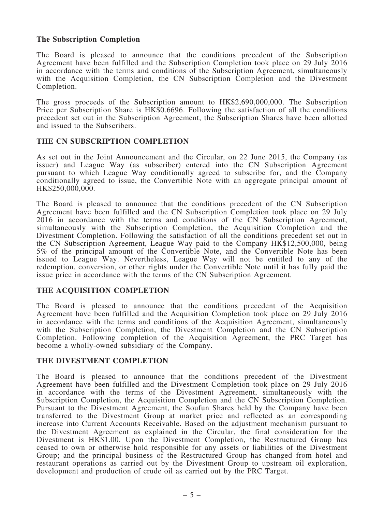### The Subscription Completion

The Board is pleased to announce that the conditions precedent of the Subscription Agreement have been fulfilled and the Subscription Completion took place on 29 July 2016 in accordance with the terms and conditions of the Subscription Agreement, simultaneously with the Acquisition Completion, the CN Subscription Completion and the Divestment Completion.

The gross proceeds of the Subscription amount to HK\$2,690,000,000. The Subscription Price per Subscription Share is HK\$0.6696. Following the satisfaction of all the conditions precedent set out in the Subscription Agreement, the Subscription Shares have been allotted and issued to the Subscribers.

#### THE CN SUBSCRIPTION COMPLETION

As set out in the Joint Announcement and the Circular, on 22 June 2015, the Company (as issuer) and League Way (as subscriber) entered into the CN Subscription Agreement pursuant to which League Way conditionally agreed to subscribe for, and the Company conditionally agreed to issue, the Convertible Note with an aggregate principal amount of HK\$250,000,000.

The Board is pleased to announce that the conditions precedent of the CN Subscription Agreement have been fulfilled and the CN Subscription Completion took place on 29 July 2016 in accordance with the terms and conditions of the CN Subscription Agreement, simultaneously with the Subscription Completion, the Acquisition Completion and the Divestment Completion. Following the satisfaction of all the conditions precedent set out in the CN Subscription Agreement, League Way paid to the Company HK\$12,500,000, being 5% of the principal amount of the Convertible Note, and the Convertible Note has been issued to League Way. Nevertheless, League Way will not be entitled to any of the redemption, conversion, or other rights under the Convertible Note until it has fully paid the issue price in accordance with the terms of the CN Subscription Agreement.

### THE ACQUISITION COMPLETION

The Board is pleased to announce that the conditions precedent of the Acquisition Agreement have been fulfilled and the Acquisition Completion took place on 29 July 2016 in accordance with the terms and conditions of the Acquisition Agreement, simultaneously with the Subscription Completion, the Divestment Completion and the CN Subscription Completion. Following completion of the Acquisition Agreement, the PRC Target has become a wholly-owned subsidiary of the Company.

### THE DIVESTMENT COMPLETION

The Board is pleased to announce that the conditions precedent of the Divestment Agreement have been fulfilled and the Divestment Completion took place on 29 July 2016 in accordance with the terms of the Divestment Agreement, simultaneously with the Subscription Completion, the Acquisition Completion and the CN Subscription Completion. Pursuant to the Divestment Agreement, the Soufun Shares held by the Company have been transferred to the Divestment Group at market price and reflected as an corresponding increase into Current Accounts Receivable. Based on the adjustment mechanism pursuant to the Divestment Agreement as explained in the Circular, the final consideration for the Divestment is HK\$1.00. Upon the Divestment Completion, the Restructured Group has ceased to own or otherwise hold responsible for any assets or liabilities of the Divestment Group; and the principal business of the Restructured Group has changed from hotel and restaurant operations as carried out by the Divestment Group to upstream oil exploration, development and production of crude oil as carried out by the PRC Target.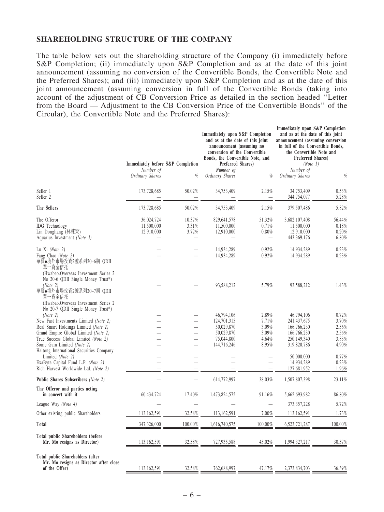#### SHAREHOLDING STRUCTURE OF THE COMPANY

The table below sets out the shareholding structure of the Company (i) immediately before S&P Completion; (ii) immediately upon S&P Completion and as at the date of this joint announcement (assuming no conversion of the Convertible Bonds, the Convertible Note and the Preferred Shares); and (iii) immediately upon S&P Completion and as at the date of this joint announcement (assuming conversion in full of the Convertible Bonds (taking into account of the adjustment of CB Conversion Price as detailed in the section headed ''Letter from the Board — Adjustment to the CB Conversion Price of the Convertible Bonds'' of the Circular), the Convertible Note and the Preferred Shares):

|                                                                                                                                                                                                                                                                                           | Immediately before S&P Completion<br>Number of |                          | Immediately upon S&P Completion<br>and as at the date of this joint<br>announcement (assuming no<br>conversion of the Convertible<br>Bonds, the Convertible Note, and<br>Preferred Shares)<br>Number of |                                                      | Immediately upon S&P Completion<br>and as at the date of this joint<br>announcement (assuming conversion<br>in full of the Convertible Bonds,<br>the Convertible Note and<br>Preferred Shares)<br>(Note 1)<br>Number of |                                                    |
|-------------------------------------------------------------------------------------------------------------------------------------------------------------------------------------------------------------------------------------------------------------------------------------------|------------------------------------------------|--------------------------|---------------------------------------------------------------------------------------------------------------------------------------------------------------------------------------------------------|------------------------------------------------------|-------------------------------------------------------------------------------------------------------------------------------------------------------------------------------------------------------------------------|----------------------------------------------------|
|                                                                                                                                                                                                                                                                                           | Ordinary Shares                                | $\%$                     | Ordinary Shares                                                                                                                                                                                         | %                                                    | Ordinary Shares                                                                                                                                                                                                         | $\%$                                               |
| Seller 1<br>Seller <sub>2</sub>                                                                                                                                                                                                                                                           | 173,728,685                                    | 50.02%                   | 34,753,409                                                                                                                                                                                              | 2.15%                                                | 34,753,409<br>344,754,077                                                                                                                                                                                               | 0.53%<br>5.28%                                     |
| The Sellers                                                                                                                                                                                                                                                                               | 173,728,685                                    | 50.02%                   | 34,753,409                                                                                                                                                                                              | 2.15%                                                | 379,507,486                                                                                                                                                                                                             | 5.82%                                              |
| The Offeror<br><b>IDG</b> Technology<br>Lin Dongliang (林棟梁)<br>Aquarius Investment (Note 3)                                                                                                                                                                                               | 36,024,724<br>11,500,000<br>12,910,000         | 10.37%<br>3.31%<br>3.72% | 829,641,578<br>11,500,000<br>12,910,000                                                                                                                                                                 | 51.32%<br>0.71%<br>0.80%<br>$\overline{\phantom{0}}$ | 3,682,107,408<br>11,500,000<br>12,910,000<br>443,369,176                                                                                                                                                                | 56.44%<br>0.18%<br>0.20%<br>6.80%                  |
| Lu Xi (Note 2)<br>Fang Chao (Note 2)<br>華寶●境外市場投資2號系列20–6期 QDII<br>單一資金信托                                                                                                                                                                                                                 |                                                |                          | 14,934,289<br>14,934,289                                                                                                                                                                                | 0.92%<br>0.92%                                       | 14,934,289<br>14,934,289                                                                                                                                                                                                | 0.23%<br>0.23%                                     |
| (Hwabao.Overseas Investment Series 2<br>No 20-6 QDII Single Money Trust*)<br>(Note 2)<br>華寶●境外市場投資2號系列20-7期 QDII<br>單一資金信托<br>(Hwabao.Overseas Investment Series 2                                                                                                                        |                                                |                          | 93,588,212                                                                                                                                                                                              | 5.79%                                                | 93,588,212                                                                                                                                                                                                              | 1.43%                                              |
| No 20-7 QDII Single Money Trust*)<br>(Note 2)<br>New Fast Investments Limited (Note 2)<br>Real Smart Holdings Limited (Note 2)<br>Grand Empire Global Limited (Note 2)<br>True Success Global Limited (Note 2)<br>Sonic Gain Limited (Note 2)<br>Haitong International Securities Company |                                                |                          | 46,794,106<br>124,701,315<br>50,029,870<br>50,029,870<br>75,044,800<br>144,716,246                                                                                                                      | 2.89%<br>7.71%<br>3.09%<br>3.09%<br>4.64%<br>8.95%   | 46,794,106<br>241, 437, 675<br>166,766,230<br>166,766,230<br>250,149,340<br>319,820,786                                                                                                                                 | 0.72%<br>3.70%<br>2.56%<br>2.56%<br>3.83%<br>4.90% |
| Limited (Note 2)<br>ExaByte Capital Fund L.P. (Note 2)<br>Rich Harvest Worldwide Ltd. (Note 2)                                                                                                                                                                                            |                                                |                          |                                                                                                                                                                                                         |                                                      | 50,000,000<br>14,934,289<br>127,681,952                                                                                                                                                                                 | 0.77%<br>0.23%<br>1.96%                            |
| Public Shares Subscribers (Note 2)                                                                                                                                                                                                                                                        |                                                |                          | 614,772,997                                                                                                                                                                                             | 38.03%                                               | 1,507,807,398                                                                                                                                                                                                           | 23.11%                                             |
| The Offeror and parties acting<br>in concert with it                                                                                                                                                                                                                                      | 60,434,724                                     | 17.40%                   | 1,473,824,575                                                                                                                                                                                           | 91.16%                                               | 5,662,693,982                                                                                                                                                                                                           | 86.80%                                             |
| League Way (Note 4)                                                                                                                                                                                                                                                                       |                                                |                          |                                                                                                                                                                                                         |                                                      | 373, 357, 228                                                                                                                                                                                                           | 5.72%                                              |
| Other existing public Shareholders                                                                                                                                                                                                                                                        | 113,162,591                                    | 32.58%                   | 113,162,591                                                                                                                                                                                             | $7.00\%$                                             | 113,162,591                                                                                                                                                                                                             | 1.73%                                              |
| Total                                                                                                                                                                                                                                                                                     | 347,326,000                                    | 100.00%                  | 1,616,740,575                                                                                                                                                                                           | 100.00%                                              | 6,523,721,287                                                                                                                                                                                                           | 100.00%                                            |
| Total public Shareholders (before<br>Mr. Mo resigns as Director)                                                                                                                                                                                                                          | 113,162,591                                    | 32.58%                   | 727,935,588                                                                                                                                                                                             | 45.02%                                               | 1,994,327,217                                                                                                                                                                                                           | 30.57%                                             |
| Total public Shareholders (after<br>Mr. Mo resigns as Director after close<br>of the Offer)                                                                                                                                                                                               | 113,162,591                                    | 32.58%                   | 762,688,997                                                                                                                                                                                             | 47.17%                                               | 2,373,834,703                                                                                                                                                                                                           | 36.39%                                             |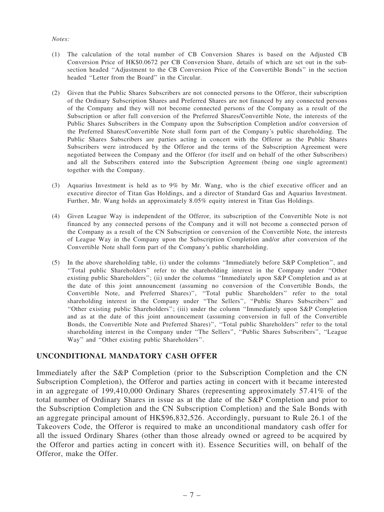#### *Notes:*

- (1) The calculation of the total number of CB Conversion Shares is based on the Adjusted CB Conversion Price of HK\$0.0672 per CB Conversion Share, details of which are set out in the subsection headed ''Adjustment to the CB Conversion Price of the Convertible Bonds'' in the section headed ''Letter from the Board'' in the Circular.
- (2) Given that the Public Shares Subscribers are not connected persons to the Offeror, their subscription of the Ordinary Subscription Shares and Preferred Shares are not financed by any connected persons of the Company and they will not become connected persons of the Company as a result of the Subscription or after full conversion of the Preferred Shares/Convertible Note, the interests of the Public Shares Subscribers in the Company upon the Subscription Completion and/or conversion of the Preferred Shares/Convertible Note shall form part of the Company's public shareholding. The Public Shares Subscribers are parties acting in concert with the Offeror as the Public Shares Subscribers were introduced by the Offeror and the terms of the Subscription Agreement were negotiated between the Company and the Offeror (for itself and on behalf of the other Subscribers) and all the Subscribers entered into the Subscription Agreement (being one single agreement) together with the Company.
- (3) Aquarius Investment is held as to 9% by Mr. Wang, who is the chief executive officer and an executive director of Titan Gas Holdings, and a director of Standard Gas and Aquarius Investment. Further, Mr. Wang holds an approximately 8.05% equity interest in Titan Gas Holdings.
- (4) Given League Way is independent of the Offeror, its subscription of the Convertible Note is not financed by any connected persons of the Company and it will not become a connected person of the Company as a result of the CN Subscription or conversion of the Convertible Note, the interests of League Way in the Company upon the Subscription Completion and/or after conversion of the Convertible Note shall form part of the Company's public shareholding.
- (5) In the above shareholding table, (i) under the columns ''Immediately before S&P Completion'', and ''Total public Shareholders'' refer to the shareholding interest in the Company under ''Other existing public Shareholders''; (ii) under the columns ''Immediately upon S&P Completion and as at the date of this joint announcement (assuming no conversion of the Convertible Bonds, the Convertible Note, and Preferred Shares)'', ''Total public Shareholders'' refer to the total shareholding interest in the Company under ''The Sellers'', ''Public Shares Subscribers'' and ''Other existing public Shareholders''; (iii) under the column ''Immediately upon S&P Completion and as at the date of this joint announcement (assuming conversion in full of the Convertible Bonds, the Convertible Note and Preferred Shares)'', ''Total public Shareholders'' refer to the total shareholding interest in the Company under ''The Sellers'', ''Public Shares Subscribers'', ''League Way'' and ''Other existing public Shareholders''.

### UNCONDITIONAL MANDATORY CASH OFFER

Immediately after the S&P Completion (prior to the Subscription Completion and the CN Subscription Completion), the Offeror and parties acting in concert with it became interested in an aggregate of 199,410,000 Ordinary Shares (representing approximately 57.41% of the total number of Ordinary Shares in issue as at the date of the S&P Completion and prior to the Subscription Completion and the CN Subscription Completion) and the Sale Bonds with an aggregate principal amount of HK\$96,832,526. Accordingly, pursuant to Rule 26.1 of the Takeovers Code, the Offeror is required to make an unconditional mandatory cash offer for all the issued Ordinary Shares (other than those already owned or agreed to be acquired by the Offeror and parties acting in concert with it). Essence Securities will, on behalf of the Offeror, make the Offer.